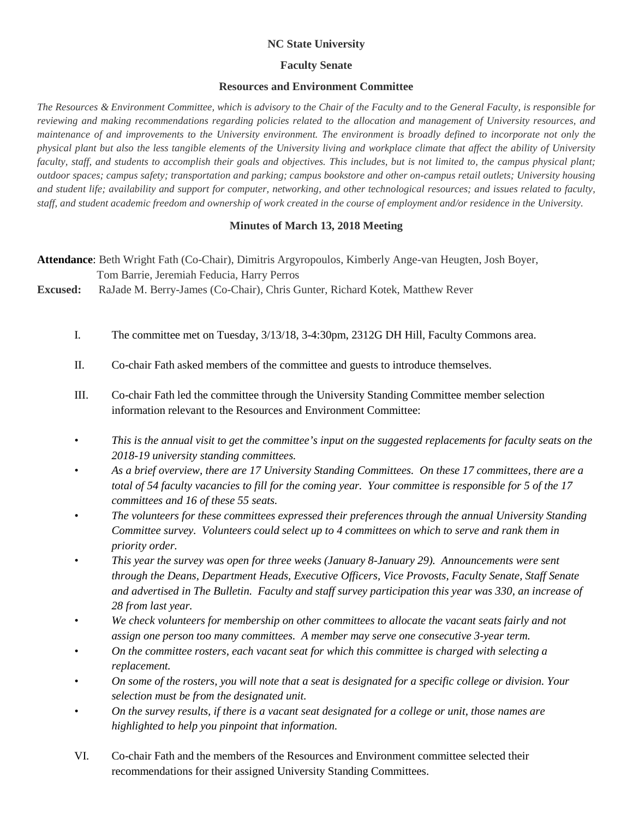## **NC State University**

## **Faculty Senate**

## **Resources and Environment Committee**

*The Resources & Environment Committee, which is advisory to the Chair of the Faculty and to the General Faculty, is responsible for reviewing and making recommendations regarding policies related to the allocation and management of University resources, and maintenance of and improvements to the University environment. The environment is broadly defined to incorporate not only the physical plant but also the less tangible elements of the University living and workplace climate that affect the ability of University faculty, staff, and students to accomplish their goals and objectives. This includes, but is not limited to, the campus physical plant; outdoor spaces; campus safety; transportation and parking; campus bookstore and other on-campus retail outlets; University housing and student life; availability and support for computer, networking, and other technological resources; and issues related to faculty, staff, and student academic freedom and ownership of work created in the course of employment and/or residence in the University.*

## **Minutes of March 13, 2018 Meeting**

**Attendance**: Beth Wright Fath (Co-Chair), Dimitris Argyropoulos, Kimberly Ange-van Heugten, Josh Boyer, Tom Barrie, Jeremiah Feducia, Harry Perros

**Excused:** RaJade M. Berry-James (Co-Chair), Chris Gunter, Richard Kotek, Matthew Rever

- I. The committee met on Tuesday, 3/13/18, 3-4:30pm, 2312G DH Hill, Faculty Commons area.
- II. Co-chair Fath asked members of the committee and guests to introduce themselves.
- III. Co-chair Fath led the committee through the University Standing Committee member selection information relevant to the Resources and Environment Committee:
- *• This is the annual visit to get the committee's input on the suggested replacements for faculty seats on the 2018-19 university standing committees.*
- *• As a brief overview, there are 17 University Standing Committees. On these 17 committees, there are a total of 54 faculty vacancies to fill for the coming year. Your committee is responsible for 5 of the 17 committees and 16 of these 55 seats.*
- *• The volunteers for these committees expressed their preferences through the annual University Standing Committee survey. Volunteers could select up to 4 committees on which to serve and rank them in priority order.*
- *• This year the survey was open for three weeks (January 8-January 29). Announcements were sent through the Deans, Department Heads, Executive Officers, Vice Provosts, Faculty Senate, Staff Senate and advertised in The Bulletin. Faculty and staff survey participation this year was 330, an increase of 28 from last year.*
- *• We check volunteers for membership on other committees to allocate the vacant seats fairly and not assign one person too many committees. A member may serve one consecutive 3-year term.*
- *• On the committee rosters, each vacant seat for which this committee is charged with selecting a replacement.*
- *• On some of the rosters, you will note that a seat is designated for a specific college or division. Your selection must be from the designated unit.*
- *• On the survey results, if there is a vacant seat designated for a college or unit, those names are highlighted to help you pinpoint that information.*
- VI. Co-chair Fath and the members of the Resources and Environment committee selected their recommendations for their assigned University Standing Committees.